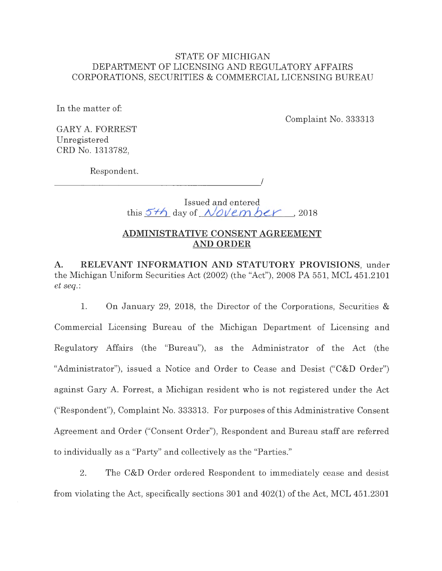## STATE OF MICHIGAN DEPARTMENT OF LICENSING AND REGULATORY AFFAIRS CORPORATIONS, SECURITIES & COMMERCIAL LICENSING BUREAU

In the matter of:

Complaint No. 333313

GARY A. FORREST Unregistered CRD No. 1313782,

Respondent.

 $\overline{\phantom{a}}$ 

Issued and entered this  $57/6$  day of *November*, 2018

# **ADMINISTRATIVE CONSENT AGREEMENT AND ORDER**

**A. RELEVANT INFORMATION AND STATUTORY PROVISIONS,** under the Michigan Uniform Securities Act (2002) (the "Act"), 2008 PA 551, MCL 451.2101 *et seq.:* 

1. On January 29, 2018, the Director of the Corporations, Securities & Commercial Licensing Bureau of the Michigan Department of Licensing and Regulatory Affairs (the "Bureau"), as the Administrator of the Act (the "Administrator"), issued a Notice and Order to Cease and Desist ("C&D Order") against Gary A. Forrest, a Michigan resident who is not registered under the Act ("Respondent"), Complaint No. 333313. For purposes of this Administrative Consent Agreement and Order ("Consent Order"), Respondent and Bureau staff are referred to individually as a "Party" and collectively as the "Parties."

2. The C&D Order ordered Respondent to immediately cease and desist from violating the Act, specifically sections 301 and 402(1) of the Act, MCL 451.2301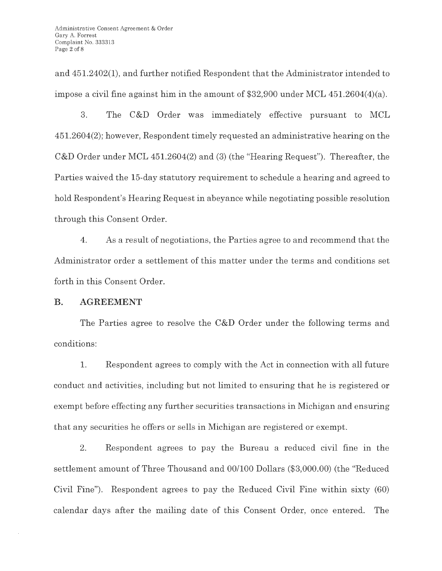and 451.2402(1), and further notified Respondent that the Administrator intended to impose a civil fine against him in the amount of \$32,900 under MCL 451.2604(4)(a).

3. The C&D Order was immediately effective pursuant to MCL 451.2604(2); however, Respondent timely requested an administrative hearing on the C&D Order under MCL 451.2604(2) and (3) (the "Hearing Request"). Thereafter, the Parties waived the 15-day statutory requirement to schedule a hearing and agreed to hold Respondent's Hearing Request in abeyance while negotiating possible resolution through this Consent Order.

4. As a result of negotiations, the Parties agree to and recommend that the Administrator order a settlement of this matter under the terms and conditions set forth in this Consent Order.

## **B. AGREEMENT**

The Parties agree to resolve the C&D Order under the following terms and conditions:

1. Respondent agrees to comply with the Act in connection with all future conduct and activities, including but not limited to ensuring that he is registered or exempt before effecting any further securities transactions in Michigan and ensuring that any securities he offers or sells in Michigan are registered or exempt.

2. Respondent agrees to pay the Bureau a reduced civil fine in the settlement amount of Three Thousand and 00/100 Dollars (\$3,000.00) (the "Reduced Civil Fine"). Respondent agrees to pay the Reduced Civil Fine within sixty (60) calendar days after the mailing date of this Consent Order, once entered. The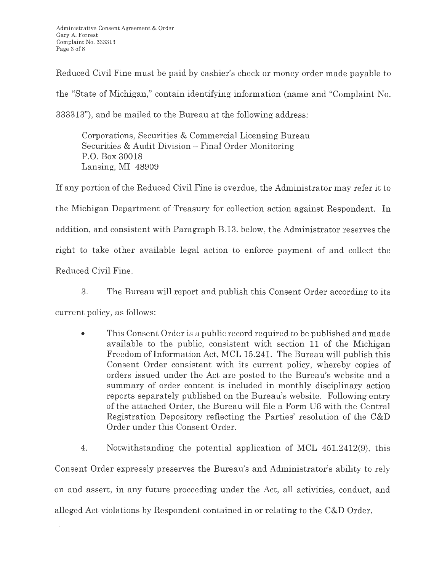Reduced Civil Fine must be paid by cashier's check or money order made payable to the "State of Michigan," contain identifying information (name and "Complaint No. 333313"), and be mailed to the Bureau at the following address:

Corporations, Securities & Commercial Licensing Bureau Securities & Audit Division - Final Order Monitoring P.O. Box 30018 Lansing, MI 48909

If any portion of the Reduced Civil Fine is overdue, the Administrator may refer it to the Michigan Department of Treasury for collection action against Respondent. In addition, and consistent with Paragraph B.13. below, the Administrator reserves the right to take other available legal action to enforce payment of and collect the Reduced Civil Fine.

3. The Bureau will report and publish this Consent Order according to its

current policy, as follows:

• This Consent Order is a public record required to be published and made available to the public, consistent with section 11 of the Michigan Freedom of Information Act, MCL 15.241. The Bureau will publish this Consent Order consistent with its current policy, whereby copies of orders issued under the Act are posted to the Bureau's website and a summary of order content is included in monthly disciplinary action reports separately published on the Bureau's website. Following entry of the attached Order, the Bureau will file a Form U6 with the Central Registration Depository reflecting the Parties' resolution of the C&D Order under this Consent Order.

4. Notwithstanding the potential application of MCL 451.2412(9), this Consent Order expressly preserves the Bureau's and Administrator's ability to rely on and assert, in any future proceeding under the Act, all activities, conduct, and alleged Act violations by Respondent contained in or relating to the C&D Order.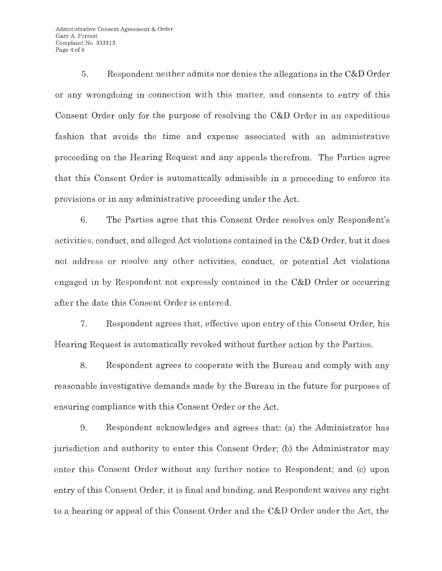Administrative Consent Agreement & Order Gary A. Forrest Complaint No. 333313 Page 4 of 8

5. Respondent neither admits nor denies the allegations in the C&D Order or any wrongdoing in connection with this matter, and consents to entry of this Consent Order only for the purpose of resolving the C&D Order in an expeditious fashion that avoids the time and expense associated with an administrative proceeding on the Hearing Request and any appeals therefrom. The Parties agree that this Consent Order is automatically admissible in a proceeding to enforce its provisions or in any administrative proceeding under the Act.

6. The Parties agree that this Consent Order resolves only Respondent's activities, conduct, and alleged Act violations contained in the C&D Order, but it does not address or resolve any other activities, conduct, or potential Act violations engaged in by Respondent not expressly contained in the C&D Order or occurring after the date this Consent Order is entered.

7. Respondent agrees that, effective upon entry of this Consent Order, his Hearing Request is automatically revoked without further action by the Parties.

8. Respondent agrees to cooperate with the Bureau and comply with any reasonable investigative demands made by the Bureau in the future for purposes of ensuring compliance with this Consent Order or the Act.

9. Respondent acknowledges and agrees that: (a) the Administrator has jurisdiction and authority to enter this Consent Order; (b) the Administrator may enter this Consent Order without any further notice to Respondent; and (c) upon entry of this Consent Order, it is final and binding, and Respondent waives any right to a hearing or appeal of this Consent Order and the C&D Order under the Act, the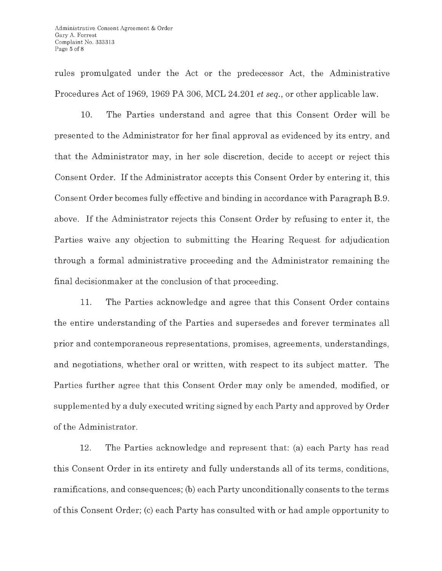rules promulgated under the Act or the predecessor Act, the Administrative Procedures Act of 1969, 1969 PA 306, MCL 24.201 *et seq.,* or other applicable law.

10. The Parties understand and agree that this Consent Order will be presented to the Administrator for her final approval as evidenced by its entry, and that the Administrator may, in her sole discretion, decide to accept or reject this Consent Order. If the Administrator accepts this Consent Order by entering it, this Consent Order becomes fully effective and binding in accordance with Paragraph B.9. above. If the Administrator rejects this Consent Order by refusing to enter it, the Parties waive any objection to submitting the Hearing Request for adjudication through a formal administrative proceeding and the Administrator remaining the final decisionmaker at the conclusion of that proceeding.

11. The Parties acknowledge and agree that this Consent Order contains the entire understanding of the Parties and supersedes and forever terminates all prior and contemporaneous representations, promises, agreements, understandings, and negotiations, whether oral or written, with respect to its subject matter. The Parties further agree that this Consent Order may only be amended, modified, or supplemented by a duly executed writing signed by each Party and approved by Order of the Administrator.

12. The Parties acknowledge and represent that: (a) each Party has read this Consent Order in its entirety and fully understands all of its terms, conditions, ramifications, and consequences; (b) each Party unconditionally consents to the terms of this Consent Order; (c) each Party has consulted with or had ample opportunity to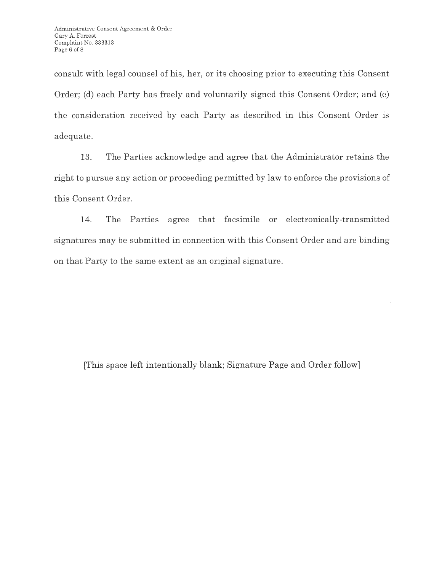consult with legal counsel of his, her, or its choosing prior to executing this Consent Order; (d) each Party has freely and voluntarily signed this Consent Order; and (e) the consideration received by each Party as described in this Consent Order is adequate.

13. The Parties acknowledge and agree that the Administrator retains the right to pursue any action or proceeding permitted by law to enforce the provisions of this Consent Order.

14. The Parties agree that facsimile or electronically-transmitted signatures may be submitted in connection with this Consent Order and are binding on that Party to the same extent as an original signature.

[This space left intentionally blank; Signature Page and Order follow]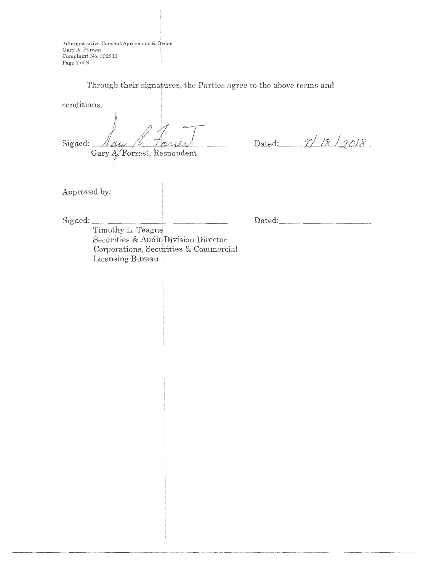Administrative Consent Agreement & Order Complaint No. 333313 Page 7 of 8 Administrative Consent Agreement & Order<br>Gary A. Forrest<br>Complete Ne. 222212

Through their signatures, the Parties agree to the above terms and

conditions.

fore Signed: <u>Aay / Torrest</u>

Dated:  $9/18/2018$ 

Approved by:

Signed: \_\_\_\_\_\_\_\_ ......\_ \_\_\_\_\_\_ \_

 $\mathcal{L}$ 

Dated: \_\_\_\_\_\_\_\_\_ \_

Timothy L. Teague Securities & Audit Division Director Corporations, Securities & Commercial Licensing Bureau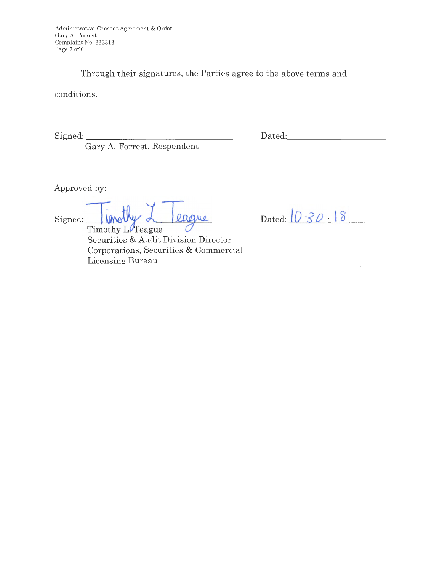Through their signatures, the Parties agree to the above terms and

conditions.

Signed:

Gary A. Forrest, Respondent

Dated:

Approved by:

Signed: **Ismathy** L league

Timothy L. Teague Securities & Audit Division Director Corporations, Securities & Commercial Licensing Bureau

Dated:  $0.30 - 18$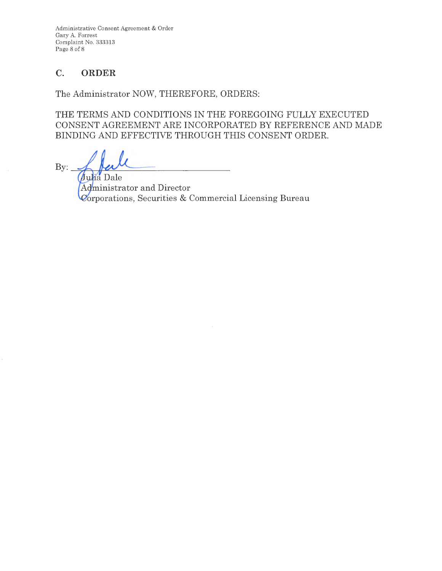Administrative Consent Agreement & Order Gary A. Forrest Complaint No. 333313 Page 8 of 8

# **C. ORDER**

The Administrator NOW, THEREFORE, ORDERS:

THE TERMS AND CONDITIONS IN THE FOREGOING FULLY EXECUTED CONSENT AGREEMENT ARE INCORPORATED BY REFERENCE AND MADE BINDING AND EFFECTIVE THROUGH THIS CONSENT ORDER.

 $By:$ 

Julia Dale inistrator and Director orporations, Securities & Commercial Licensing Bureau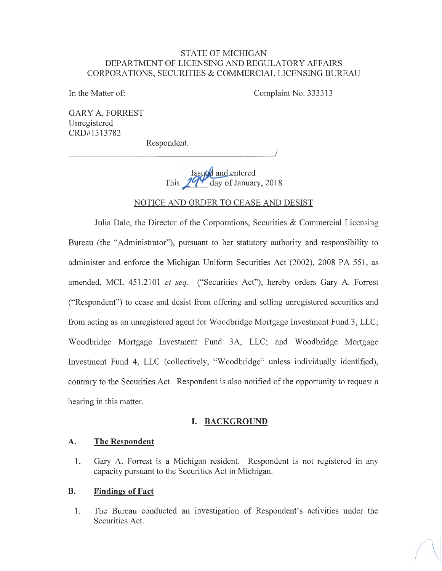## STATE OF MICHIGAN DEPARTMENT OF LICENSING AND REGULATORY AFFAIRS CORPORATIONS, SECURITIES & COMMERCIAL LICENSING BUREAU

In the Matter of:

Complaint No. 333313

I

GARY A. FORREST Unregistered CRD#l313782

Respondent.

---------------------

Issued and entered This  $294$  day of January, 2018

### NOTICE AND ORDER TO CEASE AND DESIST

Julia Dale, the Director of the Corporations, Securities & Commercial Licensing Bureau (the "Administrator"), pursuant to her statutory authority and responsibility to administer and enforce the Michigan Uniform Securities Act (2002), 2008 PA 551, as amended, MCL 451.2101 *et seq.* ("Securities Act"), hereby orders Gary A. Forrest ("Respondent") to cease and desist from offering and selling unregistered securities and from acting as an unregistered agent for Woodbridge Mortgage Investment Fund 3, LLC; Woodbridge Mortgage Investment Fund 3A, LLC; and Woodbridge Mortgage Investment Fund 4, LLC (collectively, "Woodbridge" unless individually identified), contrary to the Securities Act. Respondent is also notified of the opportunity to request a hearing in this matter.

### **I. BACKGROUND**

#### **A. The Respondent**

1. Gary A. Forrest is a Michigan resident. Respondent is not registered in any capacity pursuant to the Securities Act in Michigan.

#### **B. Findings of Fact**

1. The Bureau conducted an investigation of Respondent's activities under the Securities Act.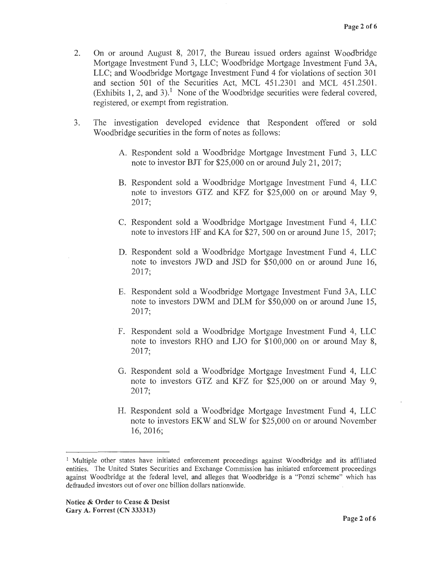- 2. On or around August 8, 2017, the Bureau issued orders against Woodbridge Mortgage Investment Fund 3, LLC; Woodbridge Mortgage Investment Fund 3A, LLC; and Woodbridge Mortgage Investment Fund 4 for violations of section 301 and section 501 of the Securities Act, MCL 451.2301 and MCL 451.2501. (Exhibits 1, 2, and 3).<sup>1</sup> None of the Woodbridge securities were federal covered, registered, or exempt from registration.
- 3. The investigation developed evidence that Respondent offered or sold Woodbridge securities in the form of notes as follows:
	- A. Respondent sold a Woodbridge Mortgage Investment Fund 3, LLC note to investor BJT for \$25,000 on or around July 21, 2017;
	- B. Respondent sold a Woodbridge Mortgage Investment Fund 4, LLC note to investors GTZ and KFZ for \$25,000 on or around May 9, 2017;
	- C. Respondent sold a Woodbridge Mortgage Investment Fund 4, LLC note to investors HF and KA for \$27, 500 on or around June 15, 2017;
	- D. Respondent sold a Woodbridge Mortgage Investment Fund 4, LLC note to investors JWD and JSD for \$50,000 on or around June 16, 2017;
	- E. Respondent sold a Woodbridge Mortgage Investment Fund 3A, LLC note to investors DWM and DLM for \$50,000 on or around June 15, 2017;
	- F. Respondent sold a Woodbridge Mortgage Investment Fund 4, LLC note to investors RHO and LJO for \$100,000 on or around May 8, 2017;
	- G. Respondent sold a Woodbridge Mortgage Investment Fund 4, LLC note to investors GTZ and KFZ for \$25,000 on or around May 9, 2017;
	- H. Respondent sold a Woodbridge Mortgage Investment Fund 4, LLC note to investors EKW and SLW for \$25,000 on or around November 16, 2016;

<sup>&</sup>lt;sup>1</sup> Multiple other states have initiated enforcement proceedings against Woodbridge and its affiliated entities. The United States Securities and Exchange Commission has initiated enforcement proceedings against Woodbridge at the federal level, and alleges that Woodbridge is a "Ponzi scheme" which has defrauded investors out of over one billion dollars nationwide.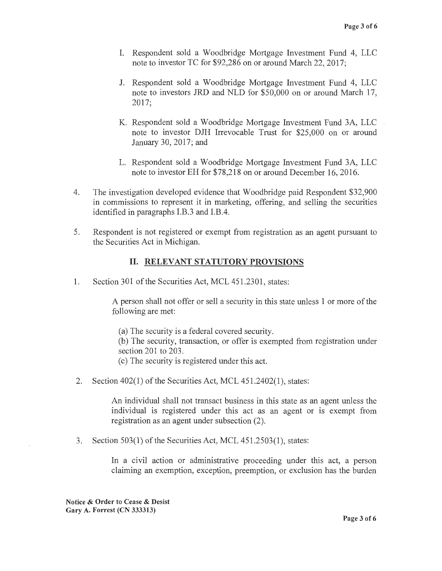- I. Respondent sold a Woodbridge Mortgage Investment Fund 4, LLC note to investor TC for \$92,286 on or around March 22, 2017;
- J. Respondent sold a Woodbridge Mortgage Investment Fund 4, LLC note to investors JRD and NLD for \$50,000 on or around March 17, 2017;
- K. Respondent sold a Woodbridge Mortgage Investment Fund 3A, LLC note to investor DJH Irrevocable Trust for \$25,000 on or around January 30, 2017; and
- L. Respondent sold a Woodbridge Mortgage Investment Fund 3A, LLC note to investor EH for \$78,218 on or around December 16, 2016.
- 4. The investigation developed evidence that Woodbridge paid Respondent \$32,900 in commissions to represent it in marketing, offering, and selling the securities identified in paragraphs I.B.3 and I.B.4.
- 5. Respondent is not registered or exempt from registration as an agent pursuant to the Securities Act in Michigan.

# II. **RELEVANT STATUTORY PROVISIONS**

1. Section 301 of the Securities Act, MCL 451.2301, states:

A person shall not offer or sell a security in this state unless 1 or more of the following are met:

(a) The security is a federal covered security.

(b) The security, transaction, or offer is exempted from registration under section 201 to 203.

- ( c) The security is registered under this act.
- 2. Section 402(1) of the Securities Act, MCL 451.2402(1), states:

An individual shall not transact business in this state as an agent unless the individual is registered under this act as an agent or is exempt from registration as an agent under subsection (2).

3. Section 503(1) of the Securities Act, MCL 451.2503(1), states:

In a civil action or administrative proceeding under this act, a person claiming an exemption, exception, preemption, or exclusion has the burden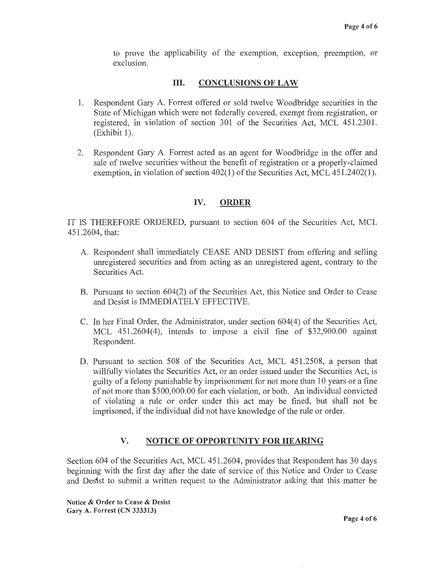to prove the applicability of the exemption, exception, preemption, or exclusion.

## III. **CONCLUSIONS OF LAW**

- 1. Respondent Gary A. Forrest offered or sold twelve Woodbridge securities in the State of Michigan which were not federally covered, exempt from registration, or registered, in violation of section 301 of the Securities Act, MCL 451.2301.  $(Exhibit 1)$ .
- 2. Respondent Gary A. Forrest acted as an agent for Woodbridge in the offer and sale of twelve securities without the benefit of registration or a properly-claimed exemption, in violation of section 402(1) of the Securities Act, MCL 451.2402(1).

# **IV. ORDER**

IT IS THEREFORE ORDERED, pursuant to section 604 of the Securities Act, MCL 451.2604, that:

- A. Respondent shall immediately CEASE AND DESIST from offering and selling umegistered securities and from acting as an umegistered agent, contrary to the Securities Act.
- B. Pursuant to section 604(2) of the Securities Act, this Notice and Order to Cease and Desist is IMMEDIATELY EFFECTIVE.
- C. In her Final Order, the Administrator, under section 604(4) of the Securities Act, MCL  $451.2604(4)$ , intends to impose a civil fine of \$32,900.00 against Respondent.
- D. Pursuant to section 508 of the Securities Act, MCL 451.2508, a person that willfully violates the Securities Act, or an order issued under the Securities Act, is guilty of a felony punishable by imprisonment for not more than 10 years or a fine of not more than \$500,000.00 for each violation, or both. An individual convicted of violating a rule or order under this act may be fined, but shall not be imprisoned, if the individual did not have knowledge of the rule or order.

# **V. NOTICE OF OPPORTUNITY FOR HEARING**

Section 604 of the Securities Act, MCL 451.2604, provides that Respondent has 30 days beginning with the first day after the date of service of this Notice and Order to Cease and Desist to submit a written request to the Administrator asking that this matter be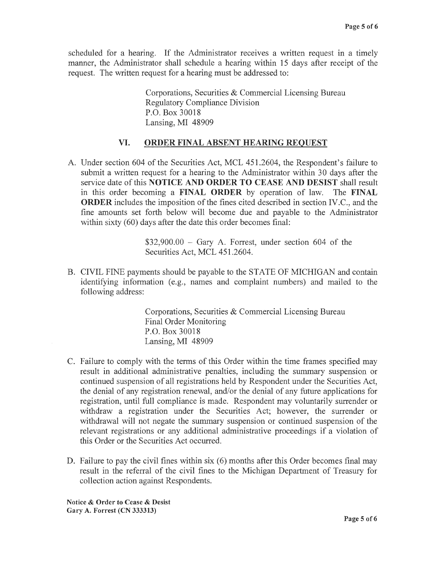scheduled for a hearing. If the Administrator receives a written request in a timely manner, the Administrator shall schedule a hearing within 15 days after receipt of the request. The written request for a hearing must be addressed to:

> Corporations, Securities & Commercial Licensing Bureau Regulatory Compliance Division P.O. Box 30018 Lansing, MI 48909

#### **VI. ORDER FINAL ABSENT HEARING REQUEST**

A. Under section 604 of the Securities Act, MCL 451.2604, the Respondent's failure to submit a written request for a hearing to the Administrator within 30 days after the service date of this **NOTICE AND ORDER TO CEASE AND DESIST** shall result in this order becoming a **FINAL ORDER** by operation of law. The **FINAL ORDER** includes the imposition of the fines cited described in section IV.C., and the fine amounts set forth below will become due and payable to the Administrator within sixty (60) days after the date this order becomes final:

> $$32,900.00 - Gary A$ . Forrest, under section 604 of the Securities Act, MCL 451.2604.

B. CIVIL FINE payments should be payable to the STATE OF MICHIGAN and contain identifying information (e.g., names and complaint numbers) and mailed to the following address:

> Corporations, Securities & Commercial Licensing Bureau Final Order Monitoring P.O. Box 30018 Lansing, MI 48909

- C. Failure to comply with the terms of this Order within the time frames specified may result in additional administrative penalties, including the summary suspension or continued suspension of all registrations held by Respondent under the Securities Act, the denial of any registration renewal, and/or the denial of any future applications for registration, until full compliance is made. Respondent may voluntarily surrender or withdraw a registration under the Securities Act; however, the surrender or withdrawal will not negate the summary suspension or continued suspension of the relevant registrations or any additional administrative proceedings if a violation of this Order or the Securities Act occurred.
- D. Failure to pay the civil fines within six (6) months after this Order becomes final may result in the referral of the civil fines to the Michigan Department of Treasury for collection action against Respondents.